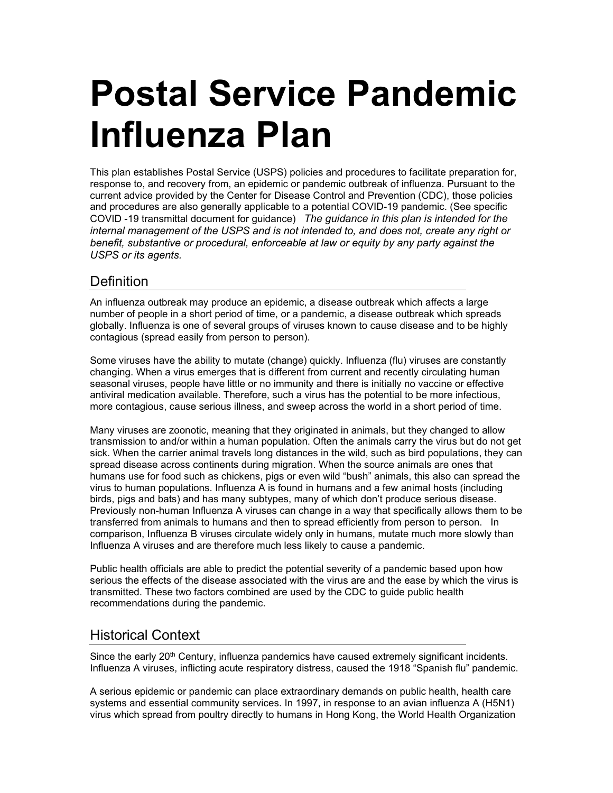# **Postal Service Pandemic Influenza Plan**

This plan establishes Postal Service (USPS) policies and procedures to facilitate preparation for, response to, and recovery from, an epidemic or pandemic outbreak of influenza. Pursuant to the current advice provided by the Center for Disease Control and Prevention (CDC), those policies and procedures are also generally applicable to a potential COVID-19 pandemic. (See specific COVID -19 transmittal document for guidance) *The guidance in this plan is intended for the internal management of the USPS and is not intended to, and does not, create any right or benefit, substantive or procedural, enforceable at law or equity by any party against the USPS or its agents.*

## **Definition**

An influenza outbreak may produce an epidemic, a disease outbreak which affects a large number of people in a short period of time, or a pandemic, a disease outbreak which spreads globally. Influenza is one of several groups of viruses known to cause disease and to be highly contagious (spread easily from person to person).

Some viruses have the ability to mutate (change) quickly. Influenza (flu) viruses are constantly changing. When a virus emerges that is different from current and recently circulating human seasonal viruses, people have little or no immunity and there is initially no vaccine or effective antiviral medication available. Therefore, such a virus has the potential to be more infectious, more contagious, cause serious illness, and sweep across the world in a short period of time.

Many viruses are zoonotic, meaning that they originated in animals, but they changed to allow transmission to and/or within a human population. Often the animals carry the virus but do not get sick. When the carrier animal travels long distances in the wild, such as bird populations, they can spread disease across continents during migration. When the source animals are ones that humans use for food such as chickens, pigs or even wild "bush" animals, this also can spread the virus to human populations. Influenza A is found in humans and a few animal hosts (including birds, pigs and bats) and has many subtypes, many of which don't produce serious disease. Previously non-human Influenza A viruses can change in a way that specifically allows them to be transferred from animals to humans and then to spread efficiently from person to person. In comparison, Influenza B viruses circulate widely only in humans, mutate much more slowly than Influenza A viruses and are therefore much less likely to cause a pandemic.

Public health officials are able to predict the potential severity of a pandemic based upon how serious the effects of the disease associated with the virus are and the ease by which the virus is transmitted. These two factors combined are used by the CDC to guide public health recommendations during the pandemic.

## Historical Context

Since the early 20<sup>th</sup> Century, influenza pandemics have caused extremely significant incidents. Influenza A viruses, inflicting acute respiratory distress, caused the 1918 "Spanish flu" pandemic.

A serious epidemic or pandemic can place extraordinary demands on public health, health care systems and essential community services. In 1997, in response to an avian influenza A (H5N1) virus which spread from poultry directly to humans in Hong Kong, the World Health Organization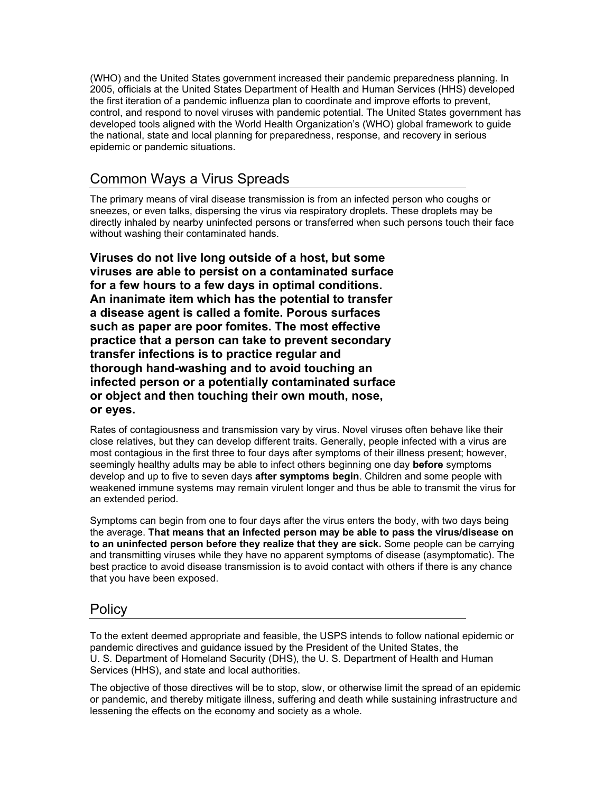(WHO) and the United States government increased their pandemic preparedness planning. In 2005, officials at the United States Department of Health and Human Services (HHS) developed the first iteration of a pandemic influenza plan to coordinate and improve efforts to prevent, control, and respond to novel viruses with pandemic potential. The United States government has developed tools aligned with the World Health Organization's (WHO) global framework to guide the national, state and local planning for preparedness, response, and recovery in serious epidemic or pandemic situations.

## Common Ways a Virus Spreads

The primary means of viral disease transmission is from an infected person who coughs or sneezes, or even talks, dispersing the virus via respiratory droplets. These droplets may be directly inhaled by nearby uninfected persons or transferred when such persons touch their face without washing their contaminated hands.

**Viruses do not live long outside of a host, but some viruses are able to persist on a contaminated surface for a few hours to a few days in optimal conditions. An inanimate item which has the potential to transfer a disease agent is called a fomite. Porous surfaces such as paper are poor fomites. The most effective practice that a person can take to prevent secondary transfer infections is to practice regular and thorough hand-washing and to avoid touching an infected person or a potentially contaminated surface or object and then touching their own mouth, nose, or eyes.**

Rates of contagiousness and transmission vary by virus. Novel viruses often behave like their close relatives, but they can develop different traits. Generally, people infected with a virus are most contagious in the first three to four days after symptoms of their illness present; however, seemingly healthy adults may be able to infect others beginning one day **before** symptoms develop and up to five to seven days **after symptoms begin**. Children and some people with weakened immune systems may remain virulent longer and thus be able to transmit the virus for an extended period.

Symptoms can begin from one to four days after the virus enters the body, with two days being the average. **That means that an infected person may be able to pass the virus/disease on to an uninfected person before they realize that they are sick.** Some people can be carrying and transmitting viruses while they have no apparent symptoms of disease (asymptomatic). The best practice to avoid disease transmission is to avoid contact with others if there is any chance that you have been exposed.

## Policy

To the extent deemed appropriate and feasible, the USPS intends to follow national epidemic or pandemic directives and guidance issued by the President of the United States, the U. S. Department of Homeland Security (DHS), the U. S. Department of Health and Human Services (HHS), and state and local authorities.

The objective of those directives will be to stop, slow, or otherwise limit the spread of an epidemic or pandemic, and thereby mitigate illness, suffering and death while sustaining infrastructure and lessening the effects on the economy and society as a whole.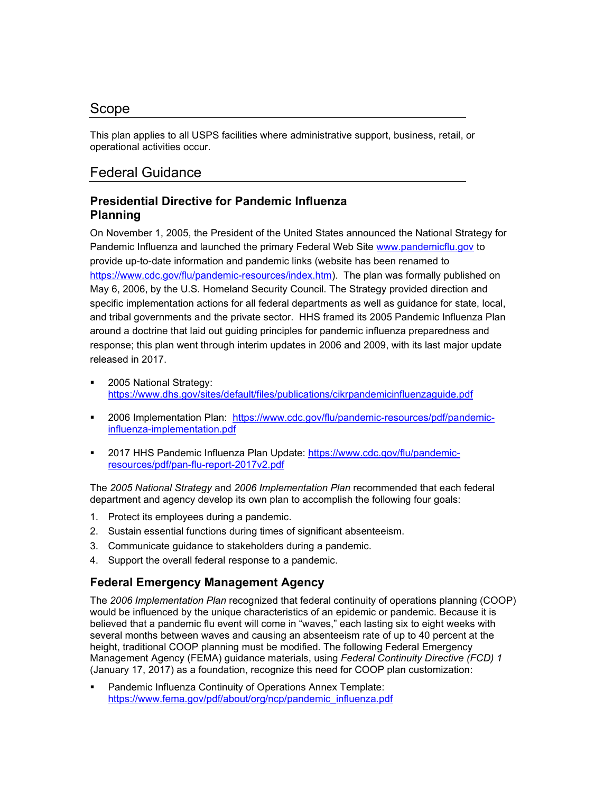## Scope

This plan applies to all USPS facilities where administrative support, business, retail, or operational activities occur.

## Federal Guidance

## **Presidential Directive for Pandemic Influenza Planning**

On November 1, 2005, the President of the United States announced the National Strategy for Pandemic Influenza and launched the primary Federal Web Site [www.pandemicflu.gov](http://www.pandemicflu.gov/) to provide up-to-date information and pandemic links (website has been renamed to [https://www.cdc.gov/flu/pandemic-resources/index.htm\)](https://www.cdc.gov/flu/pandemic-resources/index.htm). The plan was formally published on May 6, 2006, by the U.S. Homeland Security Council. The Strategy provided direction and specific implementation actions for all federal departments as well as guidance for state, local, and tribal governments and the private sector. HHS framed its 2005 Pandemic Influenza Plan around a doctrine that laid out guiding principles for pandemic influenza preparedness and response; this plan went through interim updates in 2006 and 2009, with its last major update released in 2017.

- 2005 National Strategy: <https://www.dhs.gov/sites/default/files/publications/cikrpandemicinfluenzaguide.pdf>
- 2006 Implementation Plan: [https://www.cdc.gov/flu/pandemic-resources/pdf/pandemic](https://www.cdc.gov/flu/pandemic-resources/pdf/pandemic-influenza-implementation.pdf)[influenza-implementation.pdf](https://www.cdc.gov/flu/pandemic-resources/pdf/pandemic-influenza-implementation.pdf)
- 2017 HHS Pandemic Influenza Plan Update: [https://www.cdc.gov/flu/pandemic](https://www.cdc.gov/flu/pandemic-resources/pdf/pan-flu-report-2017v2.pdf)[resources/pdf/pan-flu-report-2017v2.pdf](https://www.cdc.gov/flu/pandemic-resources/pdf/pan-flu-report-2017v2.pdf)

The *2005 National Strategy* and *2006 Implementation Plan* recommended that each federal department and agency develop its own plan to accomplish the following four goals:

- 1. Protect its employees during a pandemic.
- 2. Sustain essential functions during times of significant absenteeism.
- 3. Communicate guidance to stakeholders during a pandemic.
- 4. Support the overall federal response to a pandemic.

## **Federal Emergency Management Agency**

The *2006 Implementation Plan* recognized that federal continuity of operations planning (COOP) would be influenced by the unique characteristics of an epidemic or pandemic. Because it is believed that a pandemic flu event will come in "waves," each lasting six to eight weeks with several months between waves and causing an absenteeism rate of up to 40 percent at the height, traditional COOP planning must be modified. The following Federal Emergency Management Agency (FEMA) guidance materials, using *Federal Continuity Directive (FCD) 1*  (January 17, 2017) as a foundation, recognize this need for COOP plan customization:

 Pandemic Influenza Continuity of Operations Annex Template: [https://www.fema.gov/pdf/about/org/ncp/pandemic\\_influenza.pdf](https://www.fema.gov/pdf/about/org/ncp/pandemic_influenza.pdf)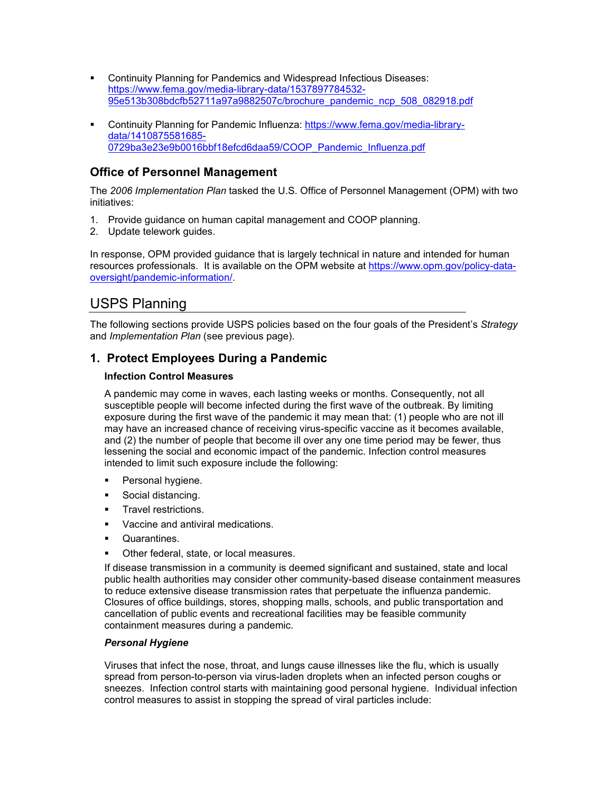- **Continuity Planning for Pandemics and Widespread Infectious Diseases:** [https://www.fema.gov/media-library-data/1537897784532-](https://www.fema.gov/media-library-data/1537897784532-95e513b308bdcfb52711a97a9882507c/brochure_pandemic_ncp_508_082918.pdf) [95e513b308bdcfb52711a97a9882507c/brochure\\_pandemic\\_ncp\\_508\\_082918.pdf](https://www.fema.gov/media-library-data/1537897784532-95e513b308bdcfb52711a97a9882507c/brochure_pandemic_ncp_508_082918.pdf)
- Continuity Planning for Pandemic Influenza: [https://www.fema.gov/media-library](https://www.fema.gov/media-library-data/1410875581685-0729ba3e23e9b0016bbf18efcd6daa59/COOP_Pandemic_Influenza.pdf)[data/1410875581685-](https://www.fema.gov/media-library-data/1410875581685-0729ba3e23e9b0016bbf18efcd6daa59/COOP_Pandemic_Influenza.pdf) [0729ba3e23e9b0016bbf18efcd6daa59/COOP\\_Pandemic\\_Influenza.pdf](https://www.fema.gov/media-library-data/1410875581685-0729ba3e23e9b0016bbf18efcd6daa59/COOP_Pandemic_Influenza.pdf)

## **Office of Personnel Management**

The *2006 Implementation Plan* tasked the U.S. Office of Personnel Management (OPM) with two initiatives:

- 1. Provide guidance on human capital management and COOP planning.
- 2. Update telework guides.

In response, OPM provided guidance that is largely technical in nature and intended for human resources professionals. It is available on the OPM website at [https://www.opm.gov/policy-data](https://www.opm.gov/policy-data-oversight/pandemic-information/)[oversight/pandemic-information/.](https://www.opm.gov/policy-data-oversight/pandemic-information/)

## USPS Planning

The following sections provide USPS policies based on the four goals of the President's *Strategy* and *Implementation Plan* (see previous page).

#### **1. Protect Employees During a Pandemic**

#### **Infection Control Measures**

A pandemic may come in waves, each lasting weeks or months. Consequently, not all susceptible people will become infected during the first wave of the outbreak. By limiting exposure during the first wave of the pandemic it may mean that: (1) people who are not ill may have an increased chance of receiving virus-specific vaccine as it becomes available, and (2) the number of people that become ill over any one time period may be fewer, thus lessening the social and economic impact of the pandemic. Infection control measures intended to limit such exposure include the following:

- Personal hygiene.
- Social distancing.
- Travel restrictions.
- Vaccine and antiviral medications.
- **Cuarantines.**
- Other federal, state, or local measures.

If disease transmission in a community is deemed significant and sustained, state and local public health authorities may consider other community-based disease containment measures to reduce extensive disease transmission rates that perpetuate the influenza pandemic. Closures of office buildings, stores, shopping malls, schools, and public transportation and cancellation of public events and recreational facilities may be feasible community containment measures during a pandemic.

#### *Personal Hygiene*

Viruses that infect the nose, throat, and lungs cause illnesses like the flu, which is usually spread from person-to-person via virus-laden droplets when an infected person coughs or sneezes. Infection control starts with maintaining good personal hygiene. Individual infection control measures to assist in stopping the spread of viral particles include: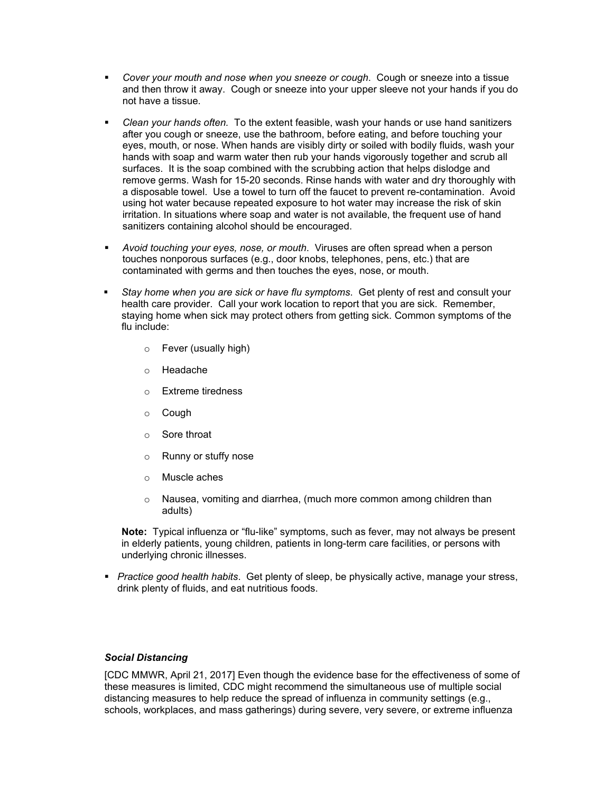- *Cover your mouth and nose when you sneeze or cough*. Cough or sneeze into a tissue and then throw it away. Cough or sneeze into your upper sleeve not your hands if you do not have a tissue.
- *Clean your hands often.* To the extent feasible, wash your hands or use hand sanitizers after you cough or sneeze, use the bathroom, before eating, and before touching your eyes, mouth, or nose. When hands are visibly dirty or soiled with bodily fluids, wash your hands with soap and warm water then rub your hands vigorously together and scrub all surfaces. It is the soap combined with the scrubbing action that helps dislodge and remove germs. Wash for 15-20 seconds. Rinse hands with water and dry thoroughly with a disposable towel. Use a towel to turn off the faucet to prevent re-contamination. Avoid using hot water because repeated exposure to hot water may increase the risk of skin irritation. In situations where soap and water is not available, the frequent use of hand sanitizers containing alcohol should be encouraged.
- *Avoid touching your eyes, nose, or mouth*. Viruses are often spread when a person touches nonporous surfaces (e.g., door knobs, telephones, pens, etc.) that are contaminated with germs and then touches the eyes, nose, or mouth.
- *Stay home when you are sick or have flu symptoms*. Get plenty of rest and consult your health care provider. Call your work location to report that you are sick. Remember, staying home when sick may protect others from getting sick. Common symptoms of the flu include:
	- o Fever (usually high)
	- o Headache
	- o Extreme tiredness
	- o Cough
	- o Sore throat
	- o Runny or stuffy nose
	- o Muscle aches
	- $\circ$  Nausea, vomiting and diarrhea, (much more common among children than adults)

**Note:** Typical influenza or "flu-like" symptoms, such as fever, may not always be present in elderly patients, young children, patients in long-term care facilities, or persons with underlying chronic illnesses.

 *Practice good health habits*. Get plenty of sleep, be physically active, manage your stress, drink plenty of fluids, and eat nutritious foods.

#### *Social Distancing*

[CDC MMWR, April 21, 2017] Even though the evidence base for the effectiveness of some of these measures is limited, CDC might recommend the simultaneous use of multiple social distancing measures to help reduce the spread of influenza in community settings (e.g., schools, workplaces, and mass gatherings) during severe, very severe, or extreme influenza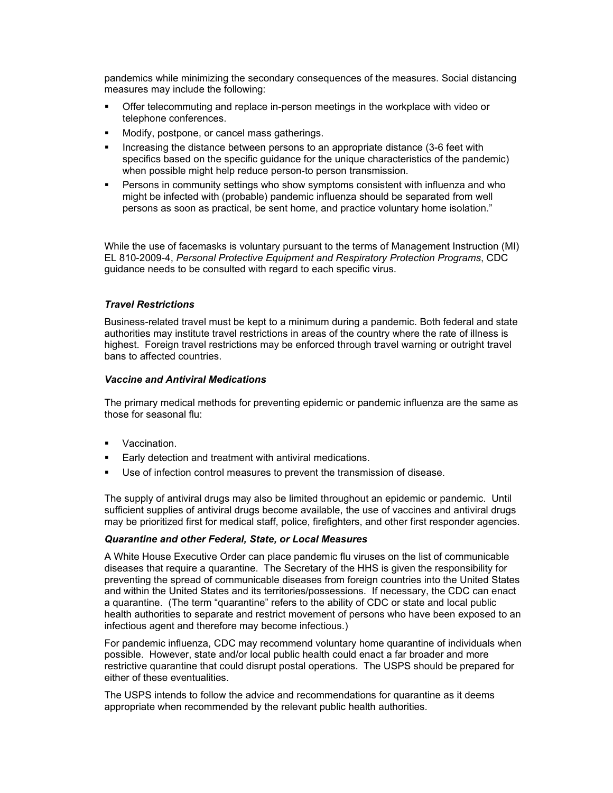pandemics while minimizing the secondary consequences of the measures. Social distancing measures may include the following:

- Offer telecommuting and replace in-person meetings in the workplace with video or telephone conferences.
- Modify, postpone, or cancel mass gatherings.
- Increasing the distance between persons to an appropriate distance (3-6 feet with specifics based on the specific guidance for the unique characteristics of the pandemic) when possible might help reduce person-to person transmission.
- Persons in community settings who show symptoms consistent with influenza and who might be infected with (probable) pandemic influenza should be separated from well persons as soon as practical, be sent home, and practice voluntary home isolation."

While the use of facemasks is voluntary pursuant to the terms of Management Instruction (MI) EL 810-2009-4, *Personal Protective Equipment and Respiratory Protection Programs*, CDC guidance needs to be consulted with regard to each specific virus.

#### *Travel Restrictions*

Business-related travel must be kept to a minimum during a pandemic. Both federal and state authorities may institute travel restrictions in areas of the country where the rate of illness is highest. Foreign travel restrictions may be enforced through travel warning or outright travel bans to affected countries.

#### *Vaccine and Antiviral Medications*

The primary medical methods for preventing epidemic or pandemic influenza are the same as those for seasonal flu:

- Vaccination.
- Early detection and treatment with antiviral medications.
- Use of infection control measures to prevent the transmission of disease.

The supply of antiviral drugs may also be limited throughout an epidemic or pandemic. Until sufficient supplies of antiviral drugs become available, the use of vaccines and antiviral drugs may be prioritized first for medical staff, police, firefighters, and other first responder agencies.

#### *Quarantine and other Federal, State, or Local Measures*

A White House Executive Order can place pandemic flu viruses on the list of communicable diseases that require a quarantine. The Secretary of the HHS is given the responsibility for preventing the spread of communicable diseases from foreign countries into the United States and within the United States and its territories/possessions. If necessary, the CDC can enact a quarantine. (The term "quarantine" refers to the ability of CDC or state and local public health authorities to separate and restrict movement of persons who have been exposed to an infectious agent and therefore may become infectious.)

For pandemic influenza, CDC may recommend voluntary home quarantine of individuals when possible. However, state and/or local public health could enact a far broader and more restrictive quarantine that could disrupt postal operations. The USPS should be prepared for either of these eventualities.

The USPS intends to follow the advice and recommendations for quarantine as it deems appropriate when recommended by the relevant public health authorities.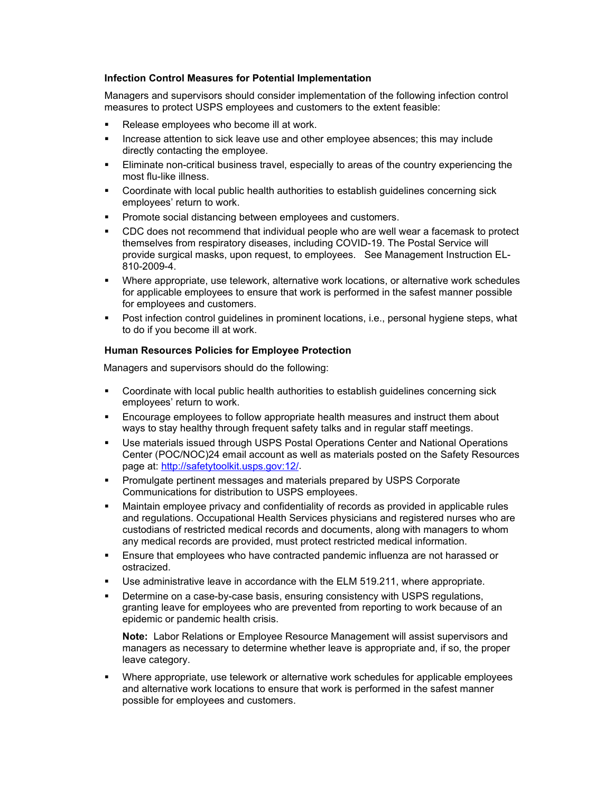#### **Infection Control Measures for Potential Implementation**

Managers and supervisors should consider implementation of the following infection control measures to protect USPS employees and customers to the extent feasible:

- Release employees who become ill at work.
- Increase attention to sick leave use and other employee absences; this may include directly contacting the employee.
- Eliminate non-critical business travel, especially to areas of the country experiencing the most flu-like illness.
- Coordinate with local public health authorities to establish guidelines concerning sick employees' return to work.
- Promote social distancing between employees and customers.
- CDC does not recommend that individual people who are well wear a facemask to protect themselves from respiratory diseases, including COVID-19. The Postal Service will provide surgical masks, upon request, to employees. See Management Instruction EL-810-2009-4.
- Where appropriate, use telework, alternative work locations, or alternative work schedules for applicable employees to ensure that work is performed in the safest manner possible for employees and customers.
- Post infection control guidelines in prominent locations, i.e., personal hygiene steps, what to do if you become ill at work.

#### **Human Resources Policies for Employee Protection**

Managers and supervisors should do the following:

- Coordinate with local public health authorities to establish guidelines concerning sick employees' return to work.
- Encourage employees to follow appropriate health measures and instruct them about ways to stay healthy through frequent safety talks and in regular staff meetings.
- Use materials issued through USPS Postal Operations Center and National Operations Center (POC/NOC)24 email account as well as materials posted on the Safety Resources page at: [http://safetytoolkit.usps.gov:12/.](http://safetytoolkit.usps.gov:12/)
- Promulgate pertinent messages and materials prepared by USPS Corporate Communications for distribution to USPS employees.
- Maintain employee privacy and confidentiality of records as provided in applicable rules and regulations. Occupational Health Services physicians and registered nurses who are custodians of restricted medical records and documents, along with managers to whom any medical records are provided, must protect restricted medical information.
- Ensure that employees who have contracted pandemic influenza are not harassed or ostracized.
- Use administrative leave in accordance with the ELM 519.211, where appropriate.
- Determine on a case-by-case basis, ensuring consistency with USPS regulations, granting leave for employees who are prevented from reporting to work because of an epidemic or pandemic health crisis.

**Note:** Labor Relations or Employee Resource Management will assist supervisors and managers as necessary to determine whether leave is appropriate and, if so, the proper leave category.

 Where appropriate, use telework or alternative work schedules for applicable employees and alternative work locations to ensure that work is performed in the safest manner possible for employees and customers.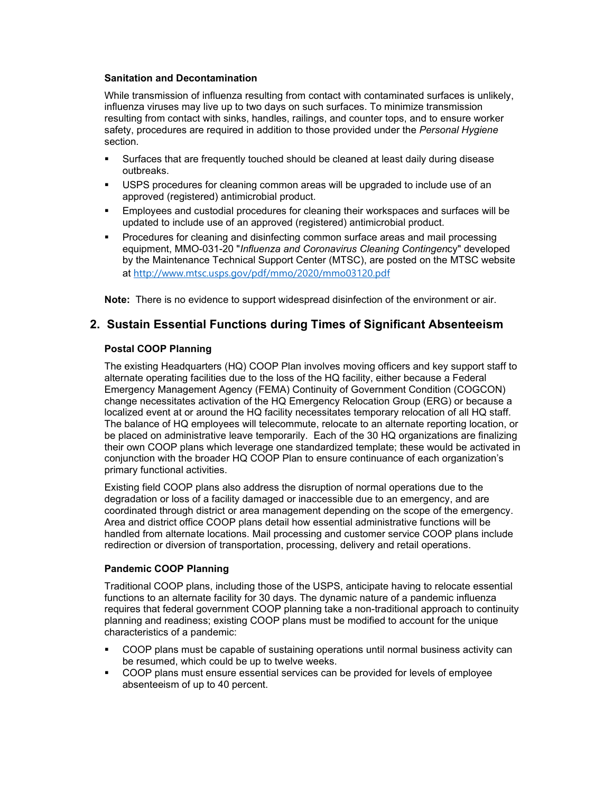#### **Sanitation and Decontamination**

While transmission of influenza resulting from contact with contaminated surfaces is unlikely, influenza viruses may live up to two days on such surfaces. To minimize transmission resulting from contact with sinks, handles, railings, and counter tops, and to ensure worker safety, procedures are required in addition to those provided under the *Personal Hygiene* section.

- Surfaces that are frequently touched should be cleaned at least daily during disease outbreaks.
- USPS procedures for cleaning common areas will be upgraded to include use of an approved (registered) antimicrobial product.
- Employees and custodial procedures for cleaning their workspaces and surfaces will be updated to include use of an approved (registered) antimicrobial product.
- Procedures for cleaning and disinfecting common surface areas and mail processing equipment, MMO-031-20 "*Influenza and Coronavirus Cleaning Contingen*cy" developed by the Maintenance Technical Support Center (MTSC), are posted on the MTSC website at <http://www.mtsc.usps.gov/pdf/mmo/2020/mmo03120.pdf>

**Note:** There is no evidence to support widespread disinfection of the environment or air.

#### **2. Sustain Essential Functions during Times of Significant Absenteeism**

#### **Postal COOP Planning**

The existing Headquarters (HQ) COOP Plan involves moving officers and key support staff to alternate operating facilities due to the loss of the HQ facility, either because a Federal Emergency Management Agency (FEMA) Continuity of Government Condition (COGCON) change necessitates activation of the HQ Emergency Relocation Group (ERG) or because a localized event at or around the HQ facility necessitates temporary relocation of all HQ staff. The balance of HQ employees will telecommute, relocate to an alternate reporting location, or be placed on administrative leave temporarily. Each of the 30 HQ organizations are finalizing their own COOP plans which leverage one standardized template; these would be activated in conjunction with the broader HQ COOP Plan to ensure continuance of each organization's primary functional activities.

Existing field COOP plans also address the disruption of normal operations due to the degradation or loss of a facility damaged or inaccessible due to an emergency, and are coordinated through district or area management depending on the scope of the emergency. Area and district office COOP plans detail how essential administrative functions will be handled from alternate locations. Mail processing and customer service COOP plans include redirection or diversion of transportation, processing, delivery and retail operations.

#### **Pandemic COOP Planning**

Traditional COOP plans, including those of the USPS, anticipate having to relocate essential functions to an alternate facility for 30 days. The dynamic nature of a pandemic influenza requires that federal government COOP planning take a non-traditional approach to continuity planning and readiness; existing COOP plans must be modified to account for the unique characteristics of a pandemic:

- COOP plans must be capable of sustaining operations until normal business activity can be resumed, which could be up to twelve weeks.
- COOP plans must ensure essential services can be provided for levels of employee absenteeism of up to 40 percent.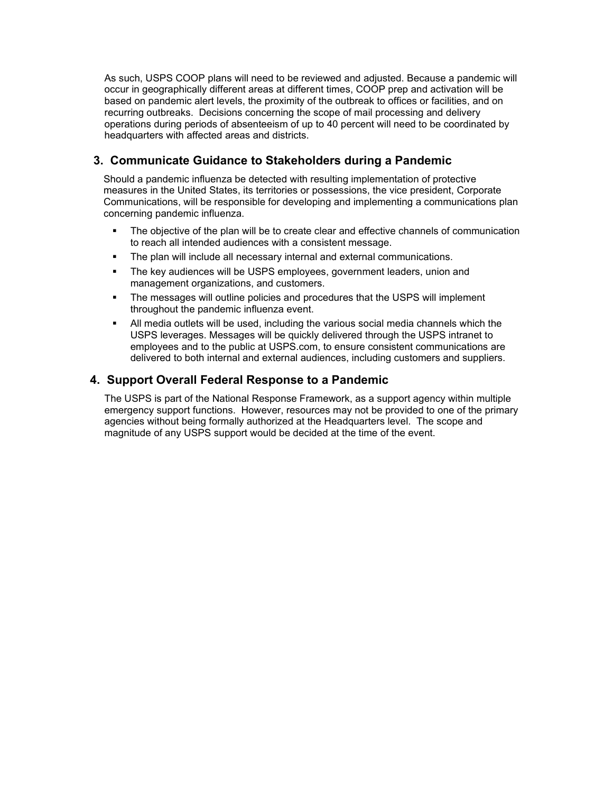As such, USPS COOP plans will need to be reviewed and adjusted. Because a pandemic will occur in geographically different areas at different times, COOP prep and activation will be based on pandemic alert levels, the proximity of the outbreak to offices or facilities, and on recurring outbreaks. Decisions concerning the scope of mail processing and delivery operations during periods of absenteeism of up to 40 percent will need to be coordinated by headquarters with affected areas and districts.

## **3. Communicate Guidance to Stakeholders during a Pandemic**

Should a pandemic influenza be detected with resulting implementation of protective measures in the United States, its territories or possessions, the vice president, Corporate Communications, will be responsible for developing and implementing a communications plan concerning pandemic influenza.

- The objective of the plan will be to create clear and effective channels of communication to reach all intended audiences with a consistent message.
- The plan will include all necessary internal and external communications.
- **The key audiences will be USPS employees, government leaders, union and** management organizations, and customers.
- The messages will outline policies and procedures that the USPS will implement throughout the pandemic influenza event.
- All media outlets will be used, including the various social media channels which the USPS leverages. Messages will be quickly delivered through the USPS intranet to employees and to the public at USPS.com, to ensure consistent communications are delivered to both internal and external audiences, including customers and suppliers.

#### **4. Support Overall Federal Response to a Pandemic**

The USPS is part of the National Response Framework, as a support agency within multiple emergency support functions. However, resources may not be provided to one of the primary agencies without being formally authorized at the Headquarters level. The scope and magnitude of any USPS support would be decided at the time of the event.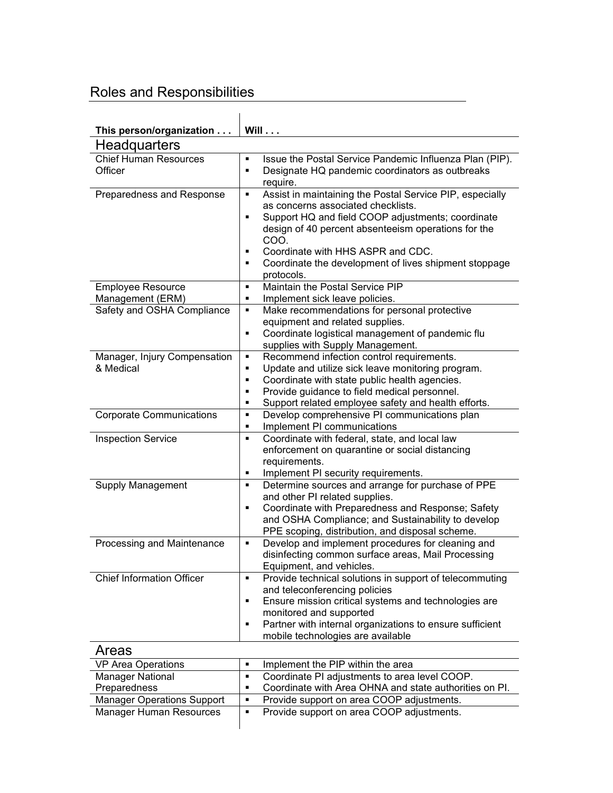## Roles and Responsibilities

| This person/organization                     | Will                                                                                                                                                                                                                                                                                                                                             |
|----------------------------------------------|--------------------------------------------------------------------------------------------------------------------------------------------------------------------------------------------------------------------------------------------------------------------------------------------------------------------------------------------------|
| <b>Headquarters</b>                          |                                                                                                                                                                                                                                                                                                                                                  |
| <b>Chief Human Resources</b>                 | Issue the Postal Service Pandemic Influenza Plan (PIP).<br>٠                                                                                                                                                                                                                                                                                     |
| Officer                                      | Designate HQ pandemic coordinators as outbreaks<br>٠                                                                                                                                                                                                                                                                                             |
| Preparedness and Response                    | require.<br>Assist in maintaining the Postal Service PIP, especially<br>٠<br>as concerns associated checklists.<br>Support HQ and field COOP adjustments; coordinate<br>٠<br>design of 40 percent absenteeism operations for the<br>COO.<br>Coordinate with HHS ASPR and CDC.<br>٠<br>Coordinate the development of lives shipment stoppage<br>٠ |
|                                              | protocols.<br>Maintain the Postal Service PIP<br>٠                                                                                                                                                                                                                                                                                               |
| <b>Employee Resource</b><br>Management (ERM) | Implement sick leave policies.<br>٠                                                                                                                                                                                                                                                                                                              |
| Safety and OSHA Compliance                   | Make recommendations for personal protective<br>٠                                                                                                                                                                                                                                                                                                |
|                                              | equipment and related supplies.<br>Coordinate logistical management of pandemic flu<br>٠<br>supplies with Supply Management.                                                                                                                                                                                                                     |
| Manager, Injury Compensation<br>& Medical    | Recommend infection control requirements.<br>٠<br>Update and utilize sick leave monitoring program.<br>٠<br>Coordinate with state public health agencies.<br>٠<br>Provide guidance to field medical personnel.<br>٠<br>Support related employee safety and health efforts.<br>٠                                                                  |
| <b>Corporate Communications</b>              | Develop comprehensive PI communications plan<br>٠<br>Implement PI communications<br>٠                                                                                                                                                                                                                                                            |
| <b>Inspection Service</b>                    | Coordinate with federal, state, and local law<br>٠<br>enforcement on quarantine or social distancing<br>requirements.<br>Implement PI security requirements.<br>٠                                                                                                                                                                                |
| Supply Management                            | Determine sources and arrange for purchase of PPE<br>٠<br>and other PI related supplies.<br>Coordinate with Preparedness and Response; Safety<br>٠<br>and OSHA Compliance; and Sustainability to develop<br>PPE scoping, distribution, and disposal scheme.                                                                                      |
| Processing and Maintenance                   | Develop and implement procedures for cleaning and<br>٠<br>disinfecting common surface areas, Mail Processing<br>Equipment, and vehicles.                                                                                                                                                                                                         |
| <b>Chief Information Officer</b>             | Provide technical solutions in support of telecommuting<br>٠<br>and teleconferencing policies<br>Ensure mission critical systems and technologies are<br>٠<br>monitored and supported<br>Partner with internal organizations to ensure sufficient<br>٠<br>mobile technologies are available                                                      |
| Areas                                        |                                                                                                                                                                                                                                                                                                                                                  |
| <b>VP Area Operations</b>                    | Implement the PIP within the area<br>٠                                                                                                                                                                                                                                                                                                           |
| <b>Manager National</b>                      | Coordinate PI adjustments to area level COOP.<br>٠                                                                                                                                                                                                                                                                                               |
| Preparedness                                 | Coordinate with Area OHNA and state authorities on PI.<br>٠                                                                                                                                                                                                                                                                                      |
| <b>Manager Operations Support</b>            | Provide support on area COOP adjustments.<br>٠                                                                                                                                                                                                                                                                                                   |
| <b>Manager Human Resources</b>               | Provide support on area COOP adjustments.<br>٠                                                                                                                                                                                                                                                                                                   |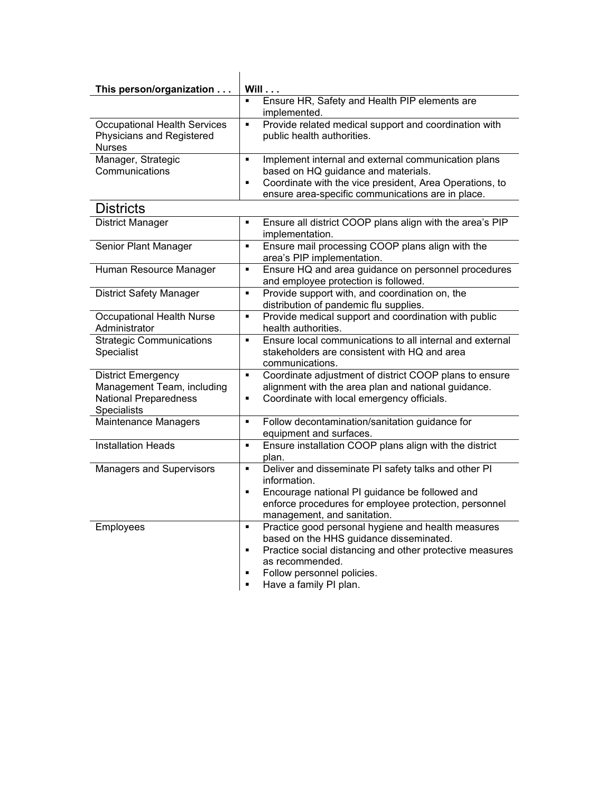| This person/organization                                                                               | Will                                                                                                                                                                                                                                                     |
|--------------------------------------------------------------------------------------------------------|----------------------------------------------------------------------------------------------------------------------------------------------------------------------------------------------------------------------------------------------------------|
|                                                                                                        | Ensure HR, Safety and Health PIP elements are<br>٠<br>implemented.                                                                                                                                                                                       |
| <b>Occupational Health Services</b><br>Physicians and Registered<br><b>Nurses</b>                      | Provide related medical support and coordination with<br>٠<br>public health authorities.                                                                                                                                                                 |
| Manager, Strategic<br>Communications                                                                   | Implement internal and external communication plans<br>٠<br>based on HQ guidance and materials.<br>Coordinate with the vice president, Area Operations, to<br>٠<br>ensure area-specific communications are in place.                                     |
| <b>Districts</b>                                                                                       |                                                                                                                                                                                                                                                          |
| <b>District Manager</b>                                                                                | Ensure all district COOP plans align with the area's PIP<br>٠<br>implementation.                                                                                                                                                                         |
| Senior Plant Manager                                                                                   | Ensure mail processing COOP plans align with the<br>٠<br>area's PIP implementation.                                                                                                                                                                      |
| Human Resource Manager                                                                                 | Ensure HQ and area guidance on personnel procedures<br>٠<br>and employee protection is followed.                                                                                                                                                         |
| <b>District Safety Manager</b>                                                                         | Provide support with, and coordination on, the<br>٠<br>distribution of pandemic flu supplies.                                                                                                                                                            |
| <b>Occupational Health Nurse</b><br>Administrator                                                      | Provide medical support and coordination with public<br>٠<br>health authorities.                                                                                                                                                                         |
| <b>Strategic Communications</b><br>Specialist                                                          | Ensure local communications to all internal and external<br>٠<br>stakeholders are consistent with HQ and area<br>communications.                                                                                                                         |
| <b>District Emergency</b><br>Management Team, including<br><b>National Preparedness</b><br>Specialists | Coordinate adjustment of district COOP plans to ensure<br>٠<br>alignment with the area plan and national guidance.<br>Coordinate with local emergency officials.<br>٠                                                                                    |
| Maintenance Managers                                                                                   | Follow decontamination/sanitation guidance for<br>٠<br>equipment and surfaces.                                                                                                                                                                           |
| <b>Installation Heads</b>                                                                              | Ensure installation COOP plans align with the district<br>٠<br>plan.                                                                                                                                                                                     |
| <b>Managers and Supervisors</b>                                                                        | Deliver and disseminate PI safety talks and other PI<br>٠<br>information.<br>Encourage national PI guidance be followed and<br>٠<br>enforce procedures for employee protection, personnel<br>management, and sanitation.                                 |
| <b>Employees</b>                                                                                       | Practice good personal hygiene and health measures<br>٠<br>based on the HHS guidance disseminated.<br>Practice social distancing and other protective measures<br>п<br>as recommended.<br>Follow personnel policies.<br>٠<br>Have a family PI plan.<br>п |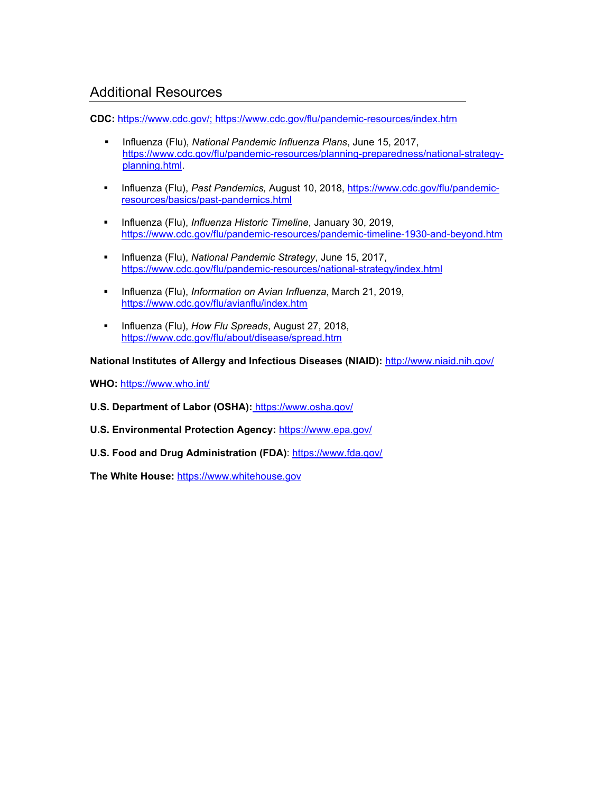## Additional Resources

**CDC:** [https://www.cdc.gov/;](https://www.cdc.gov/) https://www.cdc.gov/flu/pandemic-resources/index.htm

- Influenza (Flu), *National Pandemic Influenza Plans*, June 15, 2017, [https://www.cdc.gov/flu/pandemic-resources/planning-preparedness/national-strategy](https://www.cdc.gov/flu/pandemic-resources/planning-preparedness/national-strategy-planning.html)[planning.html.](https://www.cdc.gov/flu/pandemic-resources/planning-preparedness/national-strategy-planning.html)
- Influenza (Flu), *Past Pandemics,* August 10, 2018, [https://www.cdc.gov/flu/pandemic](https://www.cdc.gov/flu/pandemic-resources/basics/past-pandemics.html)[resources/basics/past-pandemics.html](https://www.cdc.gov/flu/pandemic-resources/basics/past-pandemics.html)
- Influenza (Flu), *Influenza Historic Timeline*, January 30, 2019, <https://www.cdc.gov/flu/pandemic-resources/pandemic-timeline-1930-and-beyond.htm>
- Influenza (Flu), *National Pandemic Strategy*, June 15, 2017, <https://www.cdc.gov/flu/pandemic-resources/national-strategy/index.html>
- **Influenza (Flu),** *Information on Avian Influenza***, March 21, 2019,** <https://www.cdc.gov/flu/avianflu/index.htm>
- **Influenza (Flu),** *How Flu Spreads*, August 27, 2018, <https://www.cdc.gov/flu/about/disease/spread.htm>

**National Institutes of Allergy and Infectious Diseases (NIAID):** <http://www.niaid.nih.gov/>

**WHO:** <https://www.who.int/>

- **U.S. Department of Labor (OSHA):** https://www.osha.gov/
- **U.S. Environmental Protection Agency:** https://www.epa.gov/
- **U.S. Food and Drug Administration (FDA)**:<https://www.fda.gov/>

**The White House:** https://www.whitehouse.gov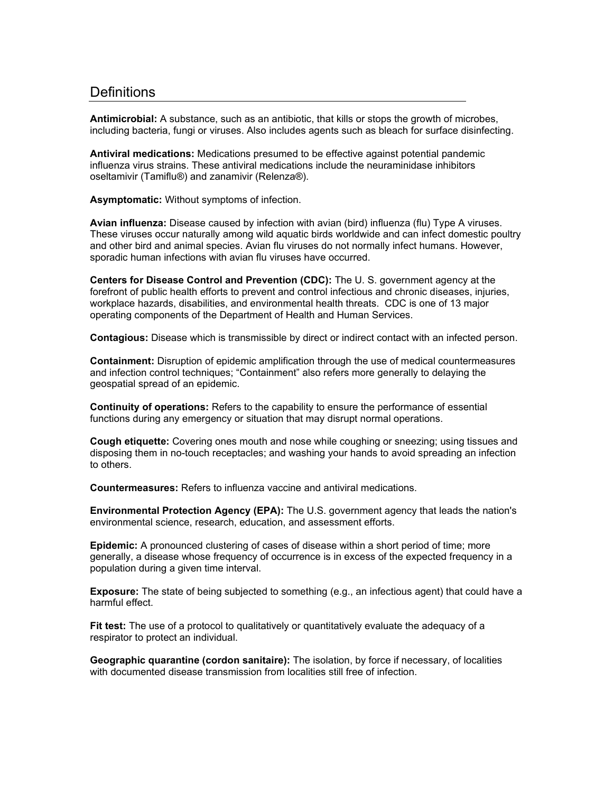## **Definitions**

**Antimicrobial:** A substance, such as an antibiotic, that kills or stops the growth of microbes, including bacteria, fungi or viruses. Also includes agents such as bleach for surface disinfecting.

**Antiviral medications:** Medications presumed to be effective against potential pandemic influenza virus strains. These antiviral medications include the neuraminidase inhibitors oseltamivir (Tamiflu®) and zanamivir (Relenza®).

**Asymptomatic:** Without symptoms of infection.

**Avian influenza:** Disease caused by infection with avian (bird) influenza (flu) Type A viruses. These viruses occur naturally among wild aquatic birds worldwide and can infect domestic poultry and other bird and animal species. Avian flu viruses do not normally infect humans. However, sporadic human infections with avian flu viruses have occurred.

**Centers for Disease Control and Prevention (CDC):** The U. S. government agency at the forefront of public health efforts to prevent and control infectious and chronic diseases, injuries, workplace hazards, disabilities, and environmental health threats. CDC is one of 13 major operating components of the Department of Health and Human Services.

**Contagious:** Disease which is transmissible by direct or indirect contact with an infected person.

**Containment:** Disruption of epidemic amplification through the use of medical countermeasures and infection control techniques; "Containment" also refers more generally to delaying the geospatial spread of an epidemic.

**Continuity of operations:** Refers to the capability to ensure the performance of essential functions during any emergency or situation that may disrupt normal operations.

**Cough etiquette:** Covering ones mouth and nose while coughing or sneezing; using tissues and disposing them in no-touch receptacles; and washing your hands to avoid spreading an infection to others.

**Countermeasures:** Refers to influenza vaccine and antiviral medications.

**Environmental Protection Agency (EPA):** The U.S. government agency that leads the nation's environmental science, research, education, and assessment efforts.

**Epidemic:** A pronounced clustering of cases of disease within a short period of time; more generally, a disease whose frequency of occurrence is in excess of the expected frequency in a population during a given time interval.

**Exposure:** The state of being subjected to something (e.g., an infectious agent) that could have a harmful effect.

**Fit test:** The use of a protocol to qualitatively or quantitatively evaluate the adequacy of a respirator to protect an individual.

**Geographic quarantine (cordon sanitaire):** The isolation, by force if necessary, of localities with documented disease transmission from localities still free of infection.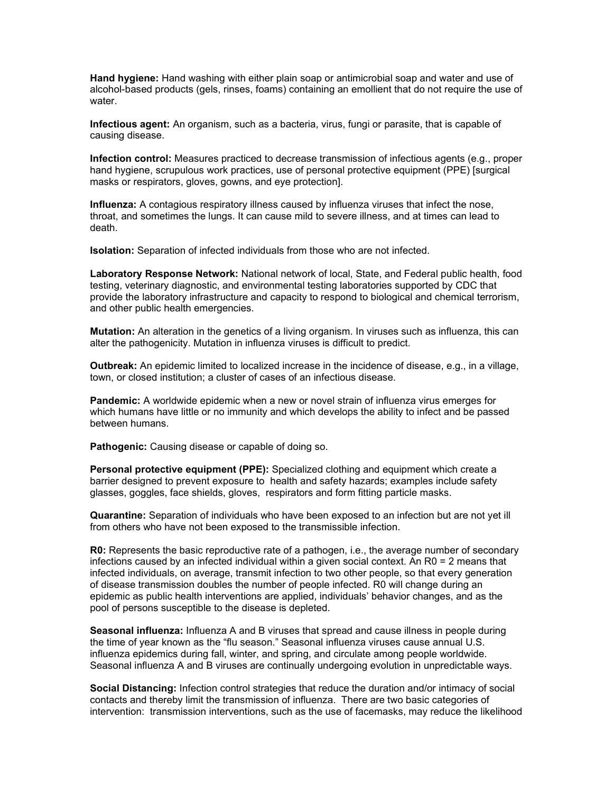**Hand hygiene:** Hand washing with either plain soap or antimicrobial soap and water and use of alcohol-based products (gels, rinses, foams) containing an emollient that do not require the use of water.

**Infectious agent:** An organism, such as a bacteria, virus, fungi or parasite, that is capable of causing disease.

**Infection control:** Measures practiced to decrease transmission of infectious agents (e.g., proper hand hygiene, scrupulous work practices, use of personal protective equipment (PPE) [surgical masks or respirators, gloves, gowns, and eye protection].

**Influenza:** A contagious respiratory illness caused by influenza viruses that infect the nose, throat, and sometimes the lungs. It can cause mild to severe illness, and at times can lead to death.

**Isolation:** Separation of infected individuals from those who are not infected.

**Laboratory Response Network:** National network of local, State, and Federal public health, food testing, veterinary diagnostic, and environmental testing laboratories supported by CDC that provide the laboratory infrastructure and capacity to respond to biological and chemical terrorism, and other public health emergencies.

**Mutation:** An alteration in the genetics of a living organism. In viruses such as influenza, this can alter the pathogenicity. Mutation in influenza viruses is difficult to predict.

**Outbreak:** An epidemic limited to localized increase in the incidence of disease, e.g., in a village, town, or closed institution; a cluster of cases of an infectious disease.

**Pandemic:** A worldwide epidemic when a new or novel strain of influenza virus emerges for which humans have little or no immunity and which develops the ability to infect and be passed between humans.

**Pathogenic:** Causing disease or capable of doing so.

**Personal protective equipment (PPE):** Specialized clothing and equipment which create a barrier designed to prevent exposure to health and safety hazards; examples include safety glasses, goggles, face shields, gloves, respirators and form fitting particle masks.

**Quarantine:** Separation of individuals who have been exposed to an infection but are not yet ill from others who have not been exposed to the transmissible infection.

**R0:** Represents the basic reproductive rate of a pathogen, i.e., the average number of secondary infections caused by an infected individual within a given social context. An R0 = 2 means that infected individuals, on average, transmit infection to two other people, so that every generation of disease transmission doubles the number of people infected. R0 will change during an epidemic as public health interventions are applied, individuals' behavior changes, and as the pool of persons susceptible to the disease is depleted.

**Seasonal influenza:** Influenza A and B viruses that spread and cause illness in people during the time of year known as the "flu season." Seasonal influenza viruses cause annual U.S. influenza epidemics during fall, winter, and spring, and circulate among people worldwide. Seasonal influenza A and B viruses are continually undergoing evolution in unpredictable ways.

**Social Distancing:** Infection control strategies that reduce the duration and/or intimacy of social contacts and thereby limit the transmission of influenza. There are two basic categories of intervention: transmission interventions, such as the use of facemasks, may reduce the likelihood